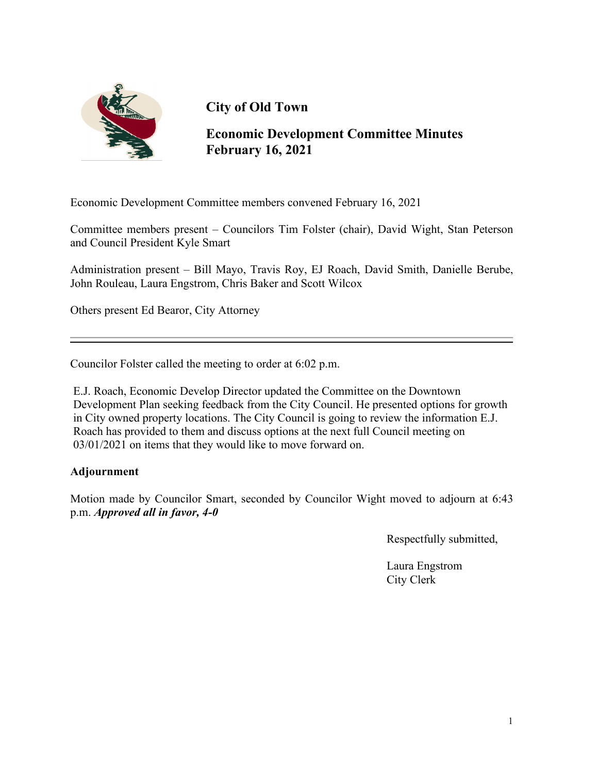

# **City of Old Town**

**Economic Development Committee Minutes February 16, 2021**

Economic Development Committee members convened February 16, 2021

Committee members present – Councilors Tim Folster (chair), David Wight, Stan Peterson and Council President Kyle Smart

Administration present – Bill Mayo, Travis Roy, EJ Roach, David Smith, Danielle Berube, John Rouleau, Laura Engstrom, Chris Baker and Scott Wilcox

Others present Ed Bearor, City Attorney

Councilor Folster called the meeting to order at 6:02 p.m.

E.J. Roach, Economic Develop Director updated the Committee on the Downtown Development Plan seeking feedback from the City Council. He presented options for growth in City owned property locations. The City Council is going to review the information E.J. Roach has provided to them and discuss options at the next full Council meeting on 03/01/2021 on items that they would like to move forward on.

#### **Adjournment**

Motion made by Councilor Smart, seconded by Councilor Wight moved to adjourn at 6:43 p.m. *Approved all in favor, 4-0*

Respectfully submitted,

Laura Engstrom City Clerk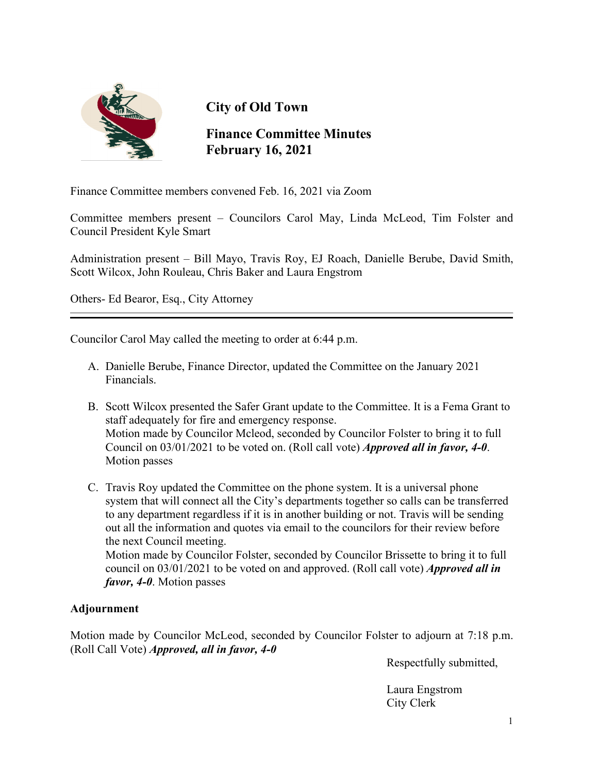

## **City of Old Town**

### **Finance Committee Minutes February 16, 2021**

Finance Committee members convened Feb. 16, 2021 via Zoom

Committee members present – Councilors Carol May, Linda McLeod, Tim Folster and Council President Kyle Smart

Administration present – Bill Mayo, Travis Roy, EJ Roach, Danielle Berube, David Smith, Scott Wilcox, John Rouleau, Chris Baker and Laura Engstrom

Others- Ed Bearor, Esq., City Attorney

Councilor Carol May called the meeting to order at 6:44 p.m.

- A. Danielle Berube, Finance Director, updated the Committee on the January 2021 Financials.
- B. Scott Wilcox presented the Safer Grant update to the Committee. It is a Fema Grant to staff adequately for fire and emergency response. Motion made by Councilor Mcleod, seconded by Councilor Folster to bring it to full Council on 03/01/2021 to be voted on. (Roll call vote) *Approved all in favor, 4-0*. Motion passes
- C. Travis Roy updated the Committee on the phone system. It is a universal phone system that will connect all the City's departments together so calls can be transferred to any department regardless if it is in another building or not. Travis will be sending out all the information and quotes via email to the councilors for their review before the next Council meeting.

Motion made by Councilor Folster, seconded by Councilor Brissette to bring it to full council on 03/01/2021 to be voted on and approved. (Roll call vote) *Approved all in favor, 4-0*. Motion passes

#### **Adjournment**

Motion made by Councilor McLeod, seconded by Councilor Folster to adjourn at 7:18 p.m. (Roll Call Vote) *Approved, all in favor, 4-0*

Respectfully submitted,

Laura Engstrom City Clerk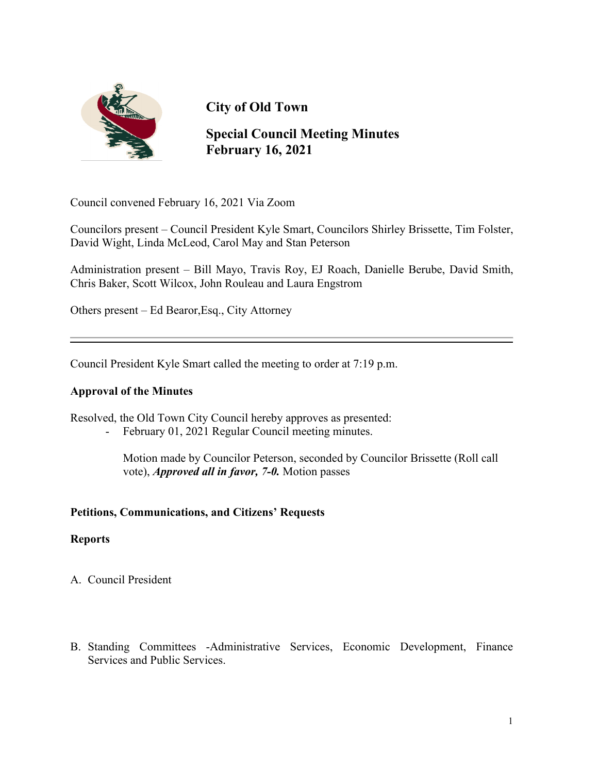

## **City of Old Town**

### **Special Council Meeting Minutes February 16, 2021**

Council convened February 16, 2021 Via Zoom

Councilors present – Council President Kyle Smart, Councilors Shirley Brissette, Tim Folster, David Wight, Linda McLeod, Carol May and Stan Peterson

Administration present – Bill Mayo, Travis Roy, EJ Roach, Danielle Berube, David Smith, Chris Baker, Scott Wilcox, John Rouleau and Laura Engstrom

Others present – Ed Bearor,Esq., City Attorney

Council President Kyle Smart called the meeting to order at 7:19 p.m.

#### **Approval of the Minutes**

Resolved, the Old Town City Council hereby approves as presented:

- February 01, 2021 Regular Council meeting minutes.

 Motion made by Councilor Peterson, seconded by Councilor Brissette (Roll call vote), *Approved all in favor, 7-0.* Motion passes

#### **Petitions, Communications, and Citizens' Requests**

#### **Reports**

- A. Council President
- B. Standing Committees -Administrative Services, Economic Development, Finance Services and Public Services.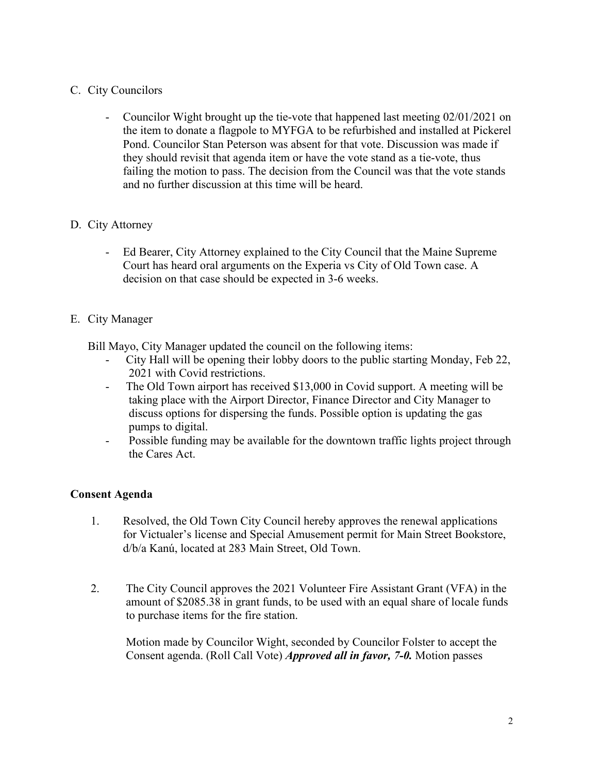#### C. City Councilors

- Councilor Wight brought up the tie-vote that happened last meeting 02/01/2021 on the item to donate a flagpole to MYFGA to be refurbished and installed at Pickerel Pond. Councilor Stan Peterson was absent for that vote. Discussion was made if they should revisit that agenda item or have the vote stand as a tie-vote, thus failing the motion to pass. The decision from the Council was that the vote stands and no further discussion at this time will be heard.

#### D. City Attorney

- Ed Bearer, City Attorney explained to the City Council that the Maine Supreme Court has heard oral arguments on the Experia vs City of Old Town case. A decision on that case should be expected in 3-6 weeks.

#### E. City Manager

Bill Mayo, City Manager updated the council on the following items:

- City Hall will be opening their lobby doors to the public starting Monday, Feb 22, 2021 with Covid restrictions.
- The Old Town airport has received \$13,000 in Covid support. A meeting will be taking place with the Airport Director, Finance Director and City Manager to discuss options for dispersing the funds. Possible option is updating the gas pumps to digital.
- Possible funding may be available for the downtown traffic lights project through the Cares Act.

### **Consent Agenda**

- 1. Resolved, the Old Town City Council hereby approves the renewal applications for Victualer's license and Special Amusement permit for Main Street Bookstore, d/b/a Kanú, located at 283 Main Street, Old Town.
- 2. The City Council approves the 2021 Volunteer Fire Assistant Grant (VFA) in the amount of \$2085.38 in grant funds, to be used with an equal share of locale funds to purchase items for the fire station.

 Motion made by Councilor Wight, seconded by Councilor Folster to accept the Consent agenda. (Roll Call Vote) *Approved all in favor, 7-0.* Motion passes